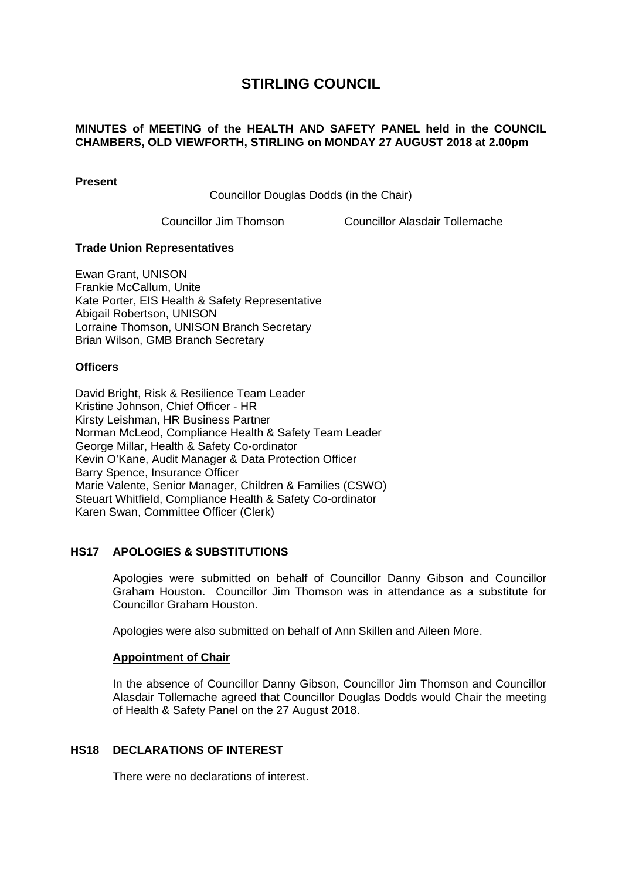# **STIRLING COUNCIL**

### **MINUTES of MEETING of the HEALTH AND SAFETY PANEL held in the COUNCIL CHAMBERS, OLD VIEWFORTH, STIRLING on MONDAY 27 AUGUST 2018 at 2.00pm**

**Present** 

Councillor Douglas Dodds (in the Chair)

Councillor Jim Thomson Councillor Alasdair Tollemache

# **Trade Union Representatives**

Ewan Grant, UNISON Frankie McCallum, Unite Kate Porter, EIS Health & Safety Representative Abigail Robertson, UNISON Lorraine Thomson, UNISON Branch Secretary Brian Wilson, GMB Branch Secretary

# **Officers**

David Bright, Risk & Resilience Team Leader Kristine Johnson, Chief Officer - HR Kirsty Leishman, HR Business Partner Norman McLeod, Compliance Health & Safety Team Leader George Millar, Health & Safety Co-ordinator Kevin O'Kane, Audit Manager & Data Protection Officer Barry Spence, Insurance Officer Marie Valente, Senior Manager, Children & Families (CSWO) Steuart Whitfield, Compliance Health & Safety Co-ordinator Karen Swan, Committee Officer (Clerk)

# **HS17 APOLOGIES & SUBSTITUTIONS**

Apologies were submitted on behalf of Councillor Danny Gibson and Councillor Graham Houston. Councillor Jim Thomson was in attendance as a substitute for Councillor Graham Houston.

Apologies were also submitted on behalf of Ann Skillen and Aileen More.

# **Appointment of Chair**

In the absence of Councillor Danny Gibson, Councillor Jim Thomson and Councillor Alasdair Tollemache agreed that Councillor Douglas Dodds would Chair the meeting of Health & Safety Panel on the 27 August 2018.

# **HS18 DECLARATIONS OF INTEREST**

There were no declarations of interest.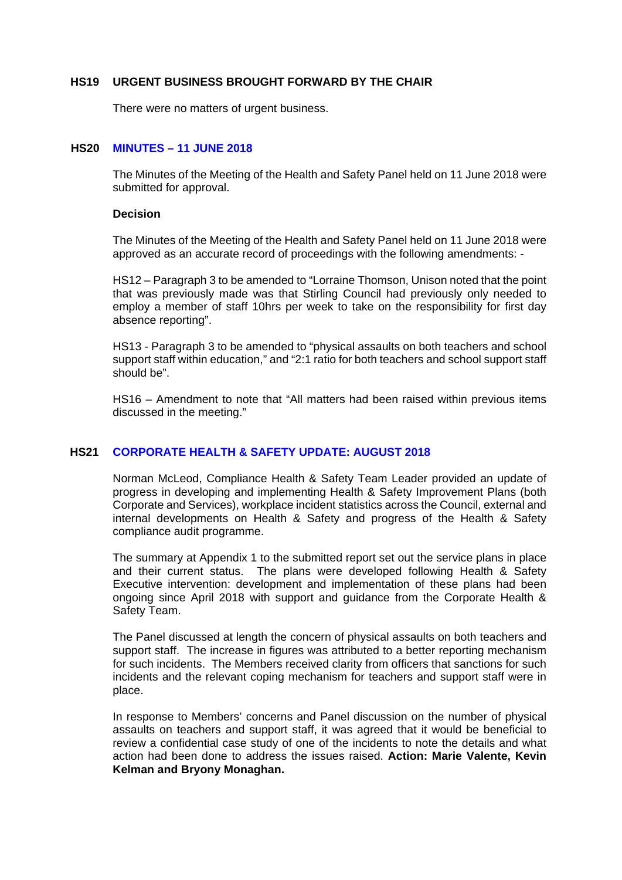#### **HS19 URGENT BUSINESS BROUGHT FORWARD BY THE CHAIR**

There were no matters of urgent business.

### **HS20 MINUTES – 11 JUNE 2018**

The Minutes of the Meeting of the Health and Safety Panel held on 11 June 2018 were submitted for approval.

#### **Decision**

The Minutes of the Meeting of the Health and Safety Panel held on 11 June 2018 were approved as an accurate record of proceedings with the following amendments: -

HS12 – Paragraph 3 to be amended to "Lorraine Thomson, Unison noted that the point that was previously made was that Stirling Council had previously only needed to employ a member of staff 10hrs per week to take on the responsibility for first day absence reporting".

HS13 - Paragraph 3 to be amended to "physical assaults on both teachers and school support staff within education," and "2:1 ratio for both teachers and school support staff should be".

HS16 – Amendment to note that "All matters had been raised within previous items discussed in the meeting."

# **HS21 CORPORATE HEALTH & SAFETY UPDATE: AUGUST 2018**

Norman McLeod, Compliance Health & Safety Team Leader provided an update of progress in developing and implementing Health & Safety Improvement Plans (both Corporate and Services), workplace incident statistics across the Council, external and internal developments on Health & Safety and progress of the Health & Safety compliance audit programme.

The summary at Appendix 1 to the submitted report set out the service plans in place and their current status. The plans were developed following Health & Safety Executive intervention: development and implementation of these plans had been ongoing since April 2018 with support and guidance from the Corporate Health & Safety Team.

The Panel discussed at length the concern of physical assaults on both teachers and support staff. The increase in figures was attributed to a better reporting mechanism for such incidents. The Members received clarity from officers that sanctions for such incidents and the relevant coping mechanism for teachers and support staff were in place.

In response to Members' concerns and Panel discussion on the number of physical assaults on teachers and support staff, it was agreed that it would be beneficial to review a confidential case study of one of the incidents to note the details and what action had been done to address the issues raised. **Action: Marie Valente, Kevin Kelman and Bryony Monaghan.**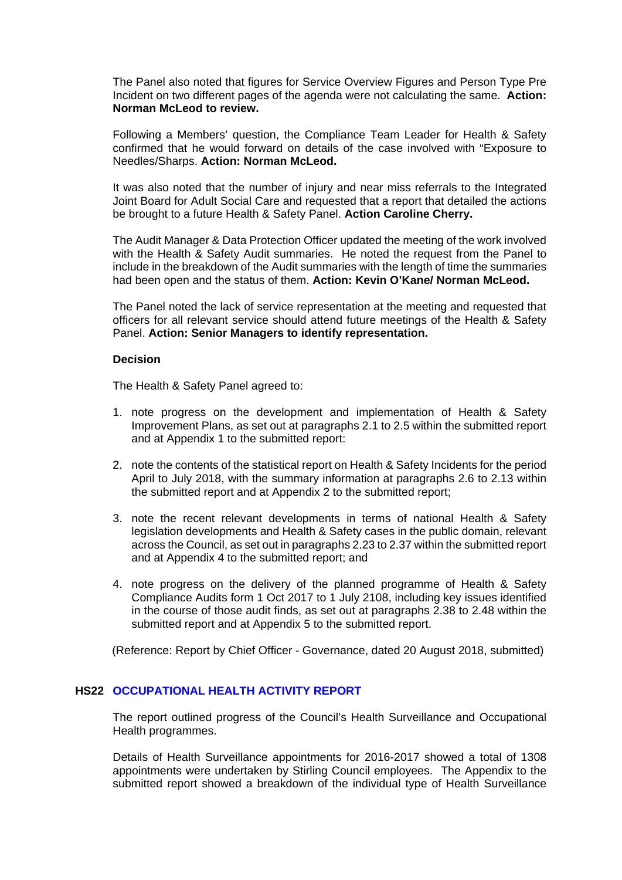The Panel also noted that figures for Service Overview Figures and Person Type Pre Incident on two different pages of the agenda were not calculating the same. **Action: Norman McLeod to review.**

Following a Members' question, the Compliance Team Leader for Health & Safety confirmed that he would forward on details of the case involved with "Exposure to Needles/Sharps. **Action: Norman McLeod.**

It was also noted that the number of injury and near miss referrals to the Integrated Joint Board for Adult Social Care and requested that a report that detailed the actions be brought to a future Health & Safety Panel. **Action Caroline Cherry.** 

The Audit Manager & Data Protection Officer updated the meeting of the work involved with the Health & Safety Audit summaries. He noted the request from the Panel to include in the breakdown of the Audit summaries with the length of time the summaries had been open and the status of them. **Action: Kevin O'Kane/ Norman McLeod.**

The Panel noted the lack of service representation at the meeting and requested that officers for all relevant service should attend future meetings of the Health & Safety Panel. **Action: Senior Managers to identify representation.**

#### **Decision**

The Health & Safety Panel agreed to:

- 1. note progress on the development and implementation of Health & Safety Improvement Plans, as set out at paragraphs 2.1 to 2.5 within the submitted report and at Appendix 1 to the submitted report:
- 2. note the contents of the statistical report on Health & Safety Incidents for the period April to July 2018, with the summary information at paragraphs 2.6 to 2.13 within the submitted report and at Appendix 2 to the submitted report;
- 3. note the recent relevant developments in terms of national Health & Safety legislation developments and Health & Safety cases in the public domain, relevant across the Council, as set out in paragraphs 2.23 to 2.37 within the submitted report and at Appendix 4 to the submitted report; and
- 4. note progress on the delivery of the planned programme of Health & Safety Compliance Audits form 1 Oct 2017 to 1 July 2108, including key issues identified in the course of those audit finds, as set out at paragraphs 2.38 to 2.48 within the submitted report and at Appendix 5 to the submitted report.

(Reference: Report by Chief Officer - Governance, dated 20 August 2018, submitted)

#### **HS22 OCCUPATIONAL HEALTH ACTIVITY REPORT**

The report outlined progress of the Council's Health Surveillance and Occupational Health programmes.

Details of Health Surveillance appointments for 2016-2017 showed a total of 1308 appointments were undertaken by Stirling Council employees. The Appendix to the submitted report showed a breakdown of the individual type of Health Surveillance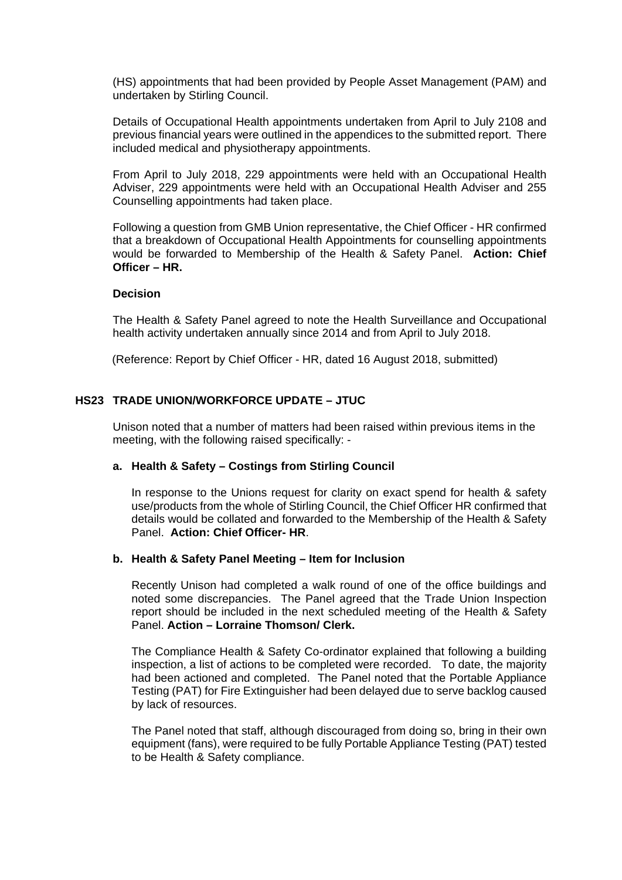(HS) appointments that had been provided by People Asset Management (PAM) and undertaken by Stirling Council.

Details of Occupational Health appointments undertaken from April to July 2108 and previous financial years were outlined in the appendices to the submitted report. There included medical and physiotherapy appointments.

From April to July 2018, 229 appointments were held with an Occupational Health Adviser, 229 appointments were held with an Occupational Health Adviser and 255 Counselling appointments had taken place.

Following a question from GMB Union representative, the Chief Officer - HR confirmed that a breakdown of Occupational Health Appointments for counselling appointments would be forwarded to Membership of the Health & Safety Panel. **Action: Chief Officer – HR.**

#### **Decision**

The Health & Safety Panel agreed to note the Health Surveillance and Occupational health activity undertaken annually since 2014 and from April to July 2018.

(Reference: Report by Chief Officer - HR, dated 16 August 2018, submitted)

# **HS23 TRADE UNION/WORKFORCE UPDATE – JTUC**

Unison noted that a number of matters had been raised within previous items in the meeting, with the following raised specifically: -

#### **a. Health & Safety – Costings from Stirling Council**

In response to the Unions request for clarity on exact spend for health & safety use/products from the whole of Stirling Council, the Chief Officer HR confirmed that details would be collated and forwarded to the Membership of the Health & Safety Panel. **Action: Chief Officer- HR**.

#### **b. Health & Safety Panel Meeting – Item for Inclusion**

Recently Unison had completed a walk round of one of the office buildings and noted some discrepancies. The Panel agreed that the Trade Union Inspection report should be included in the next scheduled meeting of the Health & Safety Panel. **Action – Lorraine Thomson/ Clerk.**

The Compliance Health & Safety Co-ordinator explained that following a building inspection, a list of actions to be completed were recorded. To date, the majority had been actioned and completed. The Panel noted that the Portable Appliance Testing (PAT) for Fire Extinguisher had been delayed due to serve backlog caused by lack of resources.

The Panel noted that staff, although discouraged from doing so, bring in their own equipment (fans), were required to be fully Portable Appliance Testing (PAT) tested to be Health & Safety compliance.